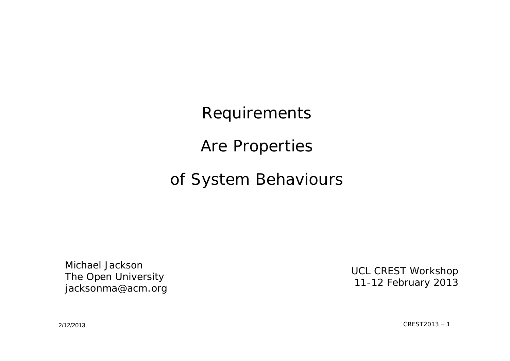Requirements

Are Properties

#### of System Behaviours

Michael JacksonThe Open University jacksonma@acm.org

UCL CREST Workshop 11-12 February 2013

2/12/2013

 $CREST2013 - 1$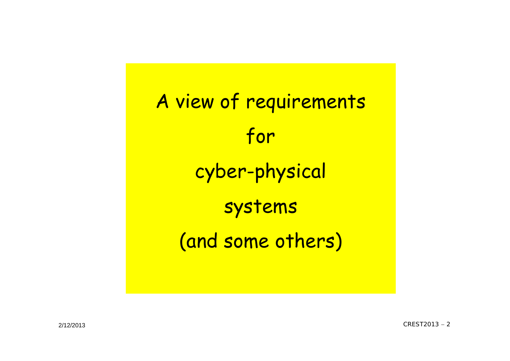A view of requirements for cyber-physical systems (and some others)

 $CREST2013 - 2$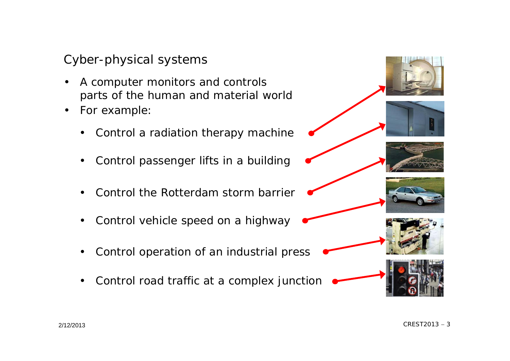#### Cyber-physical systems

- • A computer monitors and controls parts of the human and material world
- • For example:
	- $\bullet$ Control a radiation therapy machine
	- •Control passenger lifts in a building
	- •Control the Rotterdam storm barrier
	- $\bullet$ Control vehicle speed on a highway
	- •Control operation of an industrial press
	- •Control road traffic at a complex junction











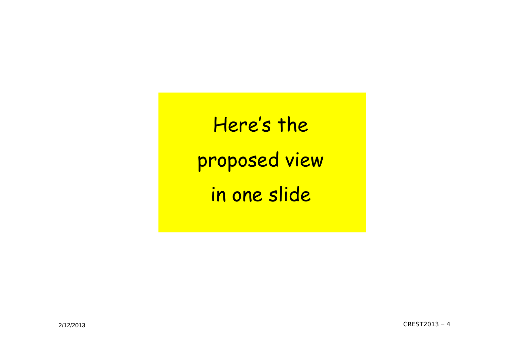Here's the proposed view in one slide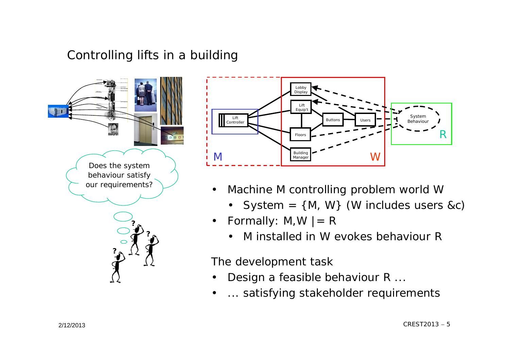#### Controlling lifts in a building





- $\bullet$  Machine M controlling problem world W
	- System = {M, W} (W includes users &c)
- $\bullet$ Formally:  $M, W$  |= R
	- •M installed in W evokes behaviour R

The development task

•

- $\bullet$ Design a feasible behaviour R ...
- ... satisfying stakeholder requirements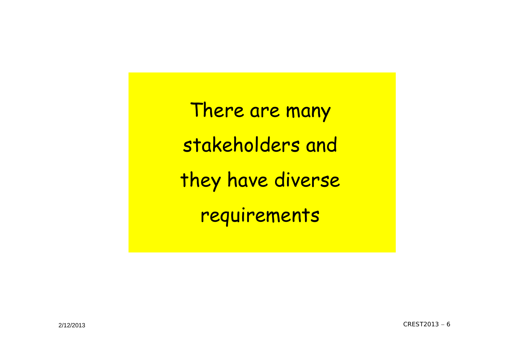There are many stakeholders and they have diverse requirements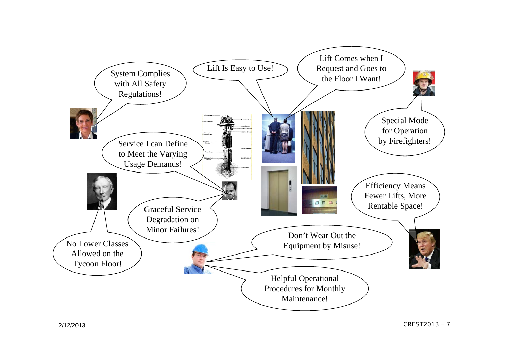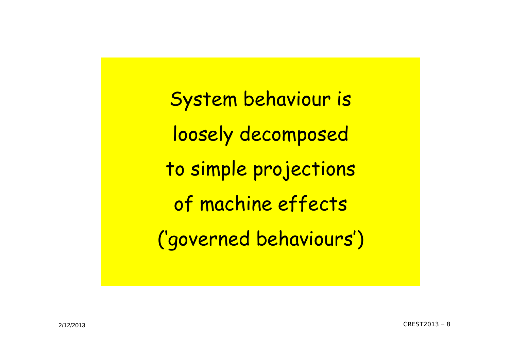System behaviour is loosely decomposed to simple projections of machine effects ('governed behaviours')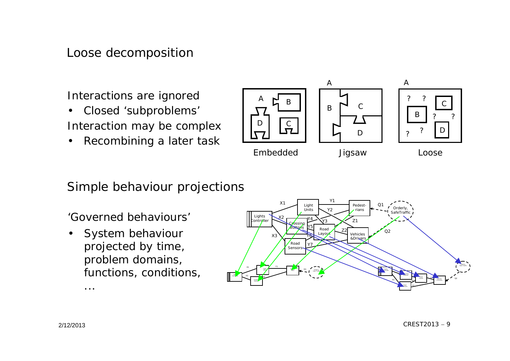#### Loose decomposition

Interactions are ignored

- $\bullet$  Closed 'subproblems' Interaction may be complex
- •Recombining a later task



#### Simple behaviour projections

'Governed behaviours'

• System behaviour projected by time, problem domains, functions, conditions,



...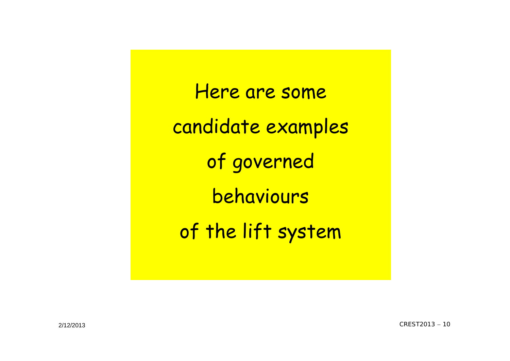Here are some candidate examples of governed behaviours of the lift system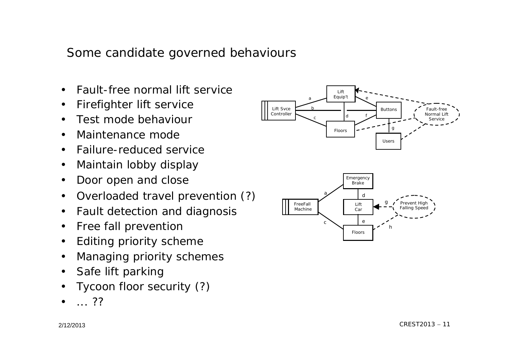#### Some candidate governed behaviours

- •Fault-free normal lift service
- $\bullet$ Firefighter lift service
- $\bullet$ Test mode behaviour
- $\bullet$ Maintenance mode
- $\bullet$ Failure-reduced service
- $\bullet$ Maintain lobby display
- $\bullet$ Door open and close
- $\bullet$ Overloaded travel prevention (?)
- $\bullet$ Fault detection and diagnosis
- $\bullet$ Free fall prevention
- •Editing priority scheme
- •Managing priority schemes
- $\bullet$ Safe lift parking
- •Tycoon floor security (?)
- •... ??

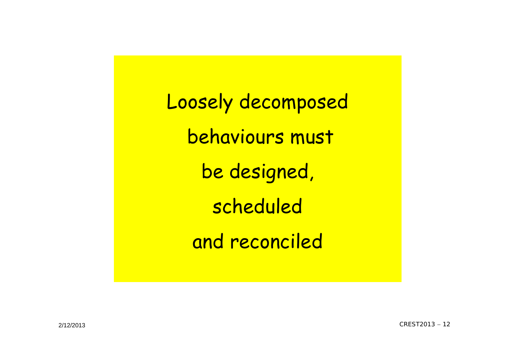Loosely decomposed behaviours must be designed, scheduled and reconciled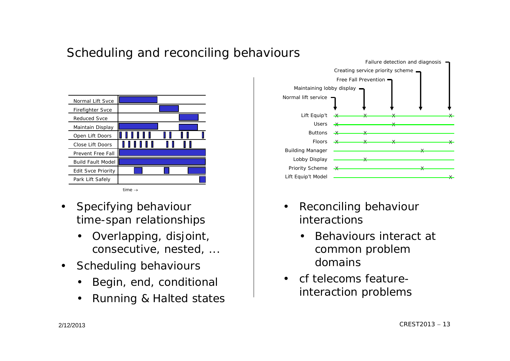

Scheduling and reconciling behaviours

- $\bullet$  Specifying behaviour time-span relationships
	- • Overlapping, disjoint, consecutive, nested, ...
- $\bullet$  Scheduling behaviours
	- •Begin, end, conditional
	- •Running & Halted states



- • Reconciling behaviour interactions
	- • Behaviours interact at common problem domains
- cf telecoms featureinteraction problems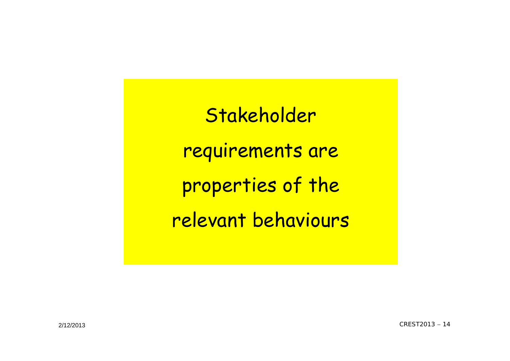Stakeholder requirements are properties of the relevant behaviours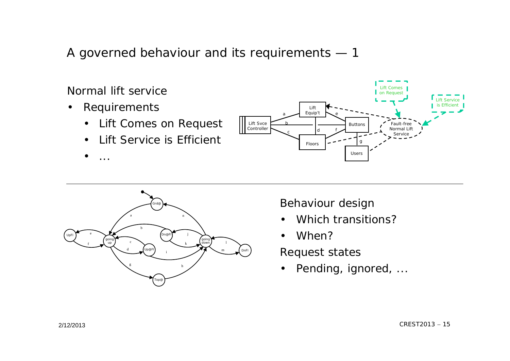A governed behaviour and its requirements — 1

Normal lift service

- $\bullet$  Requirements
	- $\bullet$ Lift Comes on Request
	- •Lift Service is Efficient
	- •...





Behaviour design

- •Which transitions?
- •When?

Request states

 $\bullet$ Pending, ignored, ...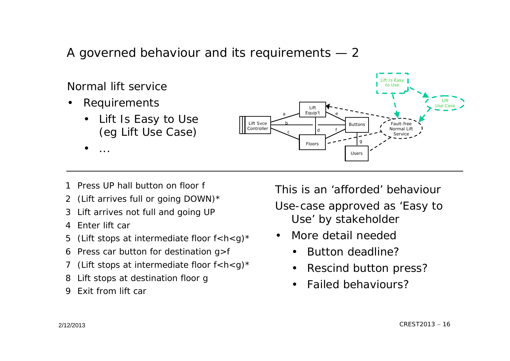A governed behaviour and its requirements — 2



- 1 Press UP hall button on floor f
- (Lift arrives full or going DOWN)\* 2
- Lift arrives not full and going UP 3
- 4 Enter lift car
- (Lift stops at intermediate floor  $f < h < g$ )\* 5
- 6 Press car button for destination g>f
- (Lift stops at intermediate floor  $f < h < g$ )\* 7
- Lift stops at destination floor g 8
- Exit from lift car9

This is an 'afforded' behaviourUse-case approved as 'Easy to Use' by stakeholder

- • More detail needed
	- •Button deadline?
	- $\bullet$ Rescind button press?

 $CREST2013 - 16$ 

•Failed behaviours?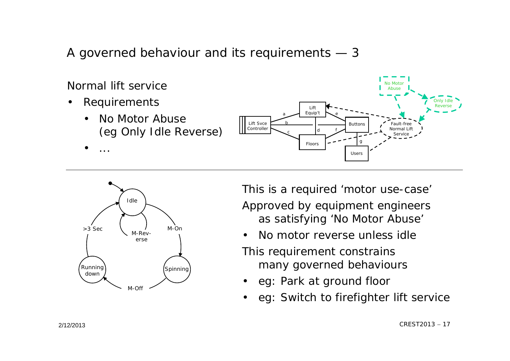A governed behaviour and its requirements — 3





This is a required 'motor use-case' Approved by equipment engineers as satisfying 'No Motor Abuse'

•No motor reverse unless idle

This requirement constrains many governed behaviours

- •eg: Park at ground floor
- •eg: Switch to firefighter lift service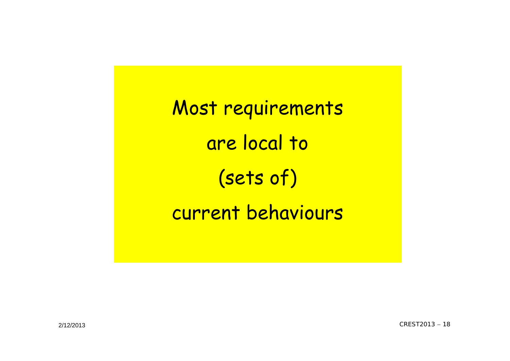Most requirements are local to (sets of) current behaviours

 $CREST2013 - 18$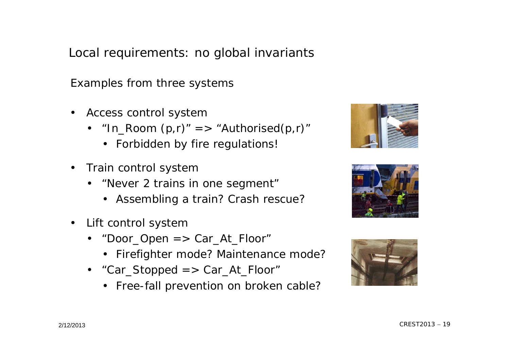Local requirements: no global invariants

Examples from three systems

- Access control system
	- "In\_Room (p,r)" => "Authorised(p,r)"
		- Forbidden by fire regulations!
- • Train control system
	- "Never 2 trains in one segment"
		- Assembling a train? Crash rescue?
- • Lift control system
	- "Door\_Open => Car\_At\_Floor"
		- Firefighter mode? Maintenance mode?
	- "Car\_Stopped => Car\_At\_Floor"
		- Free-fall prevention on broken cable?





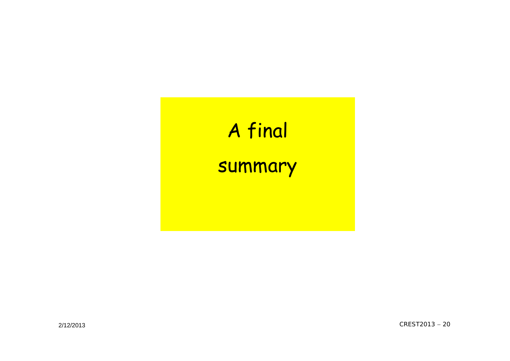# A final

### summary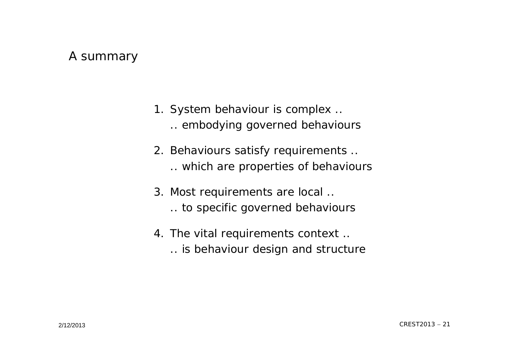#### A summary

- 1. System behaviour is complex .. .. embodying governed behaviours
- 2. Behaviours satisfy requirements .. .. which are properties of behaviours
- 3. Most requirements are local .. .. to specific governed behaviours
- 4. The vital requirements context .. .. is behaviour design and structure